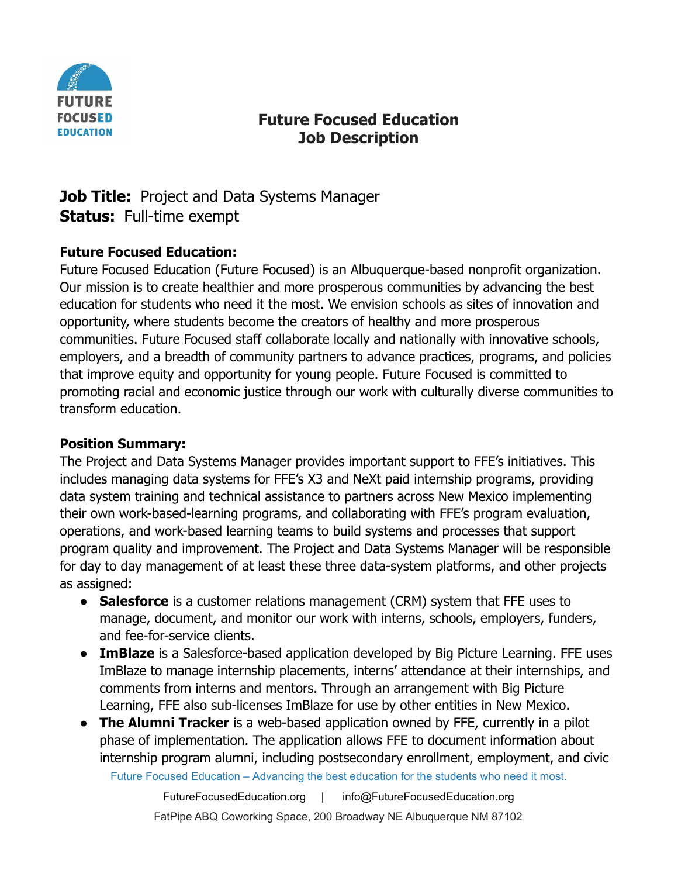

## **Future Focused Education Job Description**

# **Job Title:** Project and Data Systems Manager **Status:** Full-time exempt

## **Future Focused Education:**

Future Focused Education (Future Focused) is an Albuquerque-based nonprofit organization. Our mission is to create healthier and more prosperous communities by advancing the best education for students who need it the most. We envision schools as sites of innovation and opportunity, where students become the creators of healthy and more prosperous communities. Future Focused staff collaborate locally and nationally with innovative schools, employers, and a breadth of community partners to advance practices, programs, and policies that improve equity and opportunity for young people. Future Focused is committed to promoting racial and economic justice through our work with culturally diverse communities to transform education.

#### **Position Summary:**

The Project and Data Systems Manager provides important support to FFE's initiatives. This includes managing data systems for FFE's X3 and NeXt paid internship programs, providing data system training and technical assistance to partners across New Mexico implementing their own work-based-learning programs, and collaborating with FFE's program evaluation, operations, and work-based learning teams to build systems and processes that support program quality and improvement. The Project and Data Systems Manager will be responsible for day to day management of at least these three data-system platforms, and other projects as assigned:

- **Salesforce** is a customer relations management (CRM) system that FFE uses to manage, document, and monitor our work with interns, schools, employers, funders, and fee-for-service clients.
- **ImBlaze** is a Salesforce-based application developed by Big Picture Learning. FFE uses ImBlaze to manage internship placements, interns' attendance at their internships, and comments from interns and mentors. Through an arrangement with Big Picture Learning, FFE also sub-licenses ImBlaze for use by other entities in New Mexico.
- **The Alumni Tracker** is a web-based application owned by FFE, currently in a pilot phase of implementation. The application allows FFE to document information about internship program alumni, including postsecondary enrollment, employment, and civic

Future Focused Education – Advancing the best education for the students who need it most.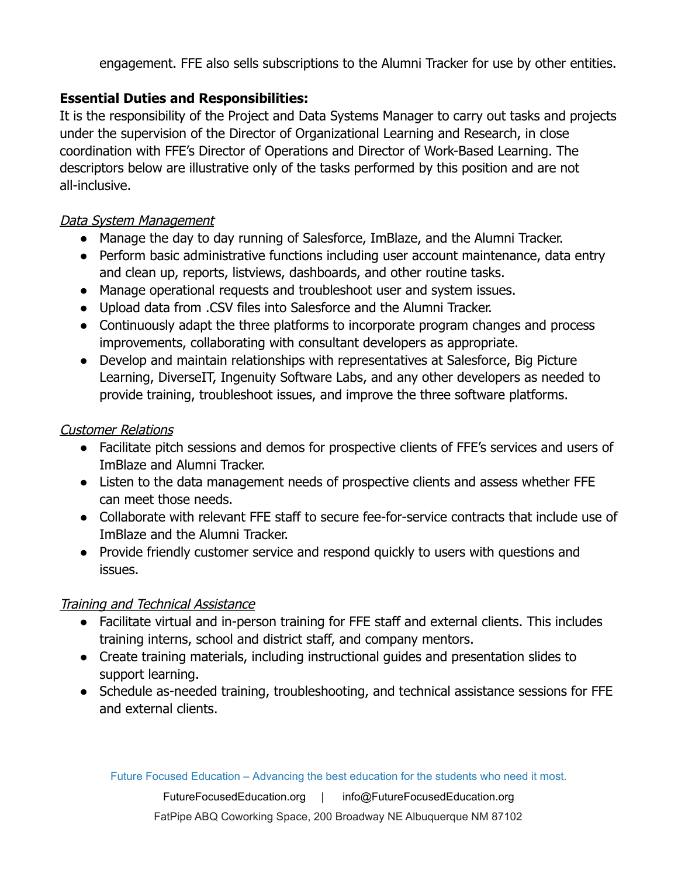engagement. FFE also sells subscriptions to the Alumni Tracker for use by other entities.

## **Essential Duties and Responsibilities:**

It is the responsibility of the Project and Data Systems Manager to carry out tasks and projects under the supervision of the Director of Organizational Learning and Research, in close coordination with FFE's Director of Operations and Director of Work-Based Learning. The descriptors below are illustrative only of the tasks performed by this position and are not all-inclusive.

#### Data System Management

- Manage the day to day running of Salesforce, ImBlaze, and the Alumni Tracker.
- Perform basic administrative functions including user account maintenance, data entry and clean up, reports, listviews, dashboards, and other routine tasks.
- Manage operational requests and troubleshoot user and system issues.
- Upload data from .CSV files into Salesforce and the Alumni Tracker.
- Continuously adapt the three platforms to incorporate program changes and process improvements, collaborating with consultant developers as appropriate.
- Develop and maintain relationships with representatives at Salesforce, Big Picture Learning, DiverseIT, Ingenuity Software Labs, and any other developers as needed to provide training, troubleshoot issues, and improve the three software platforms.

## Customer Relations

- Facilitate pitch sessions and demos for prospective clients of FFE's services and users of ImBlaze and Alumni Tracker.
- Listen to the data management needs of prospective clients and assess whether FFE can meet those needs.
- Collaborate with relevant FFE staff to secure fee-for-service contracts that include use of ImBlaze and the Alumni Tracker.
- Provide friendly customer service and respond quickly to users with questions and issues.

## Training and Technical Assistance

- Facilitate virtual and in-person training for FFE staff and external clients. This includes training interns, school and district staff, and company mentors.
- Create training materials, including instructional guides and presentation slides to support learning.
- Schedule as-needed training, troubleshooting, and technical assistance sessions for FFE and external clients.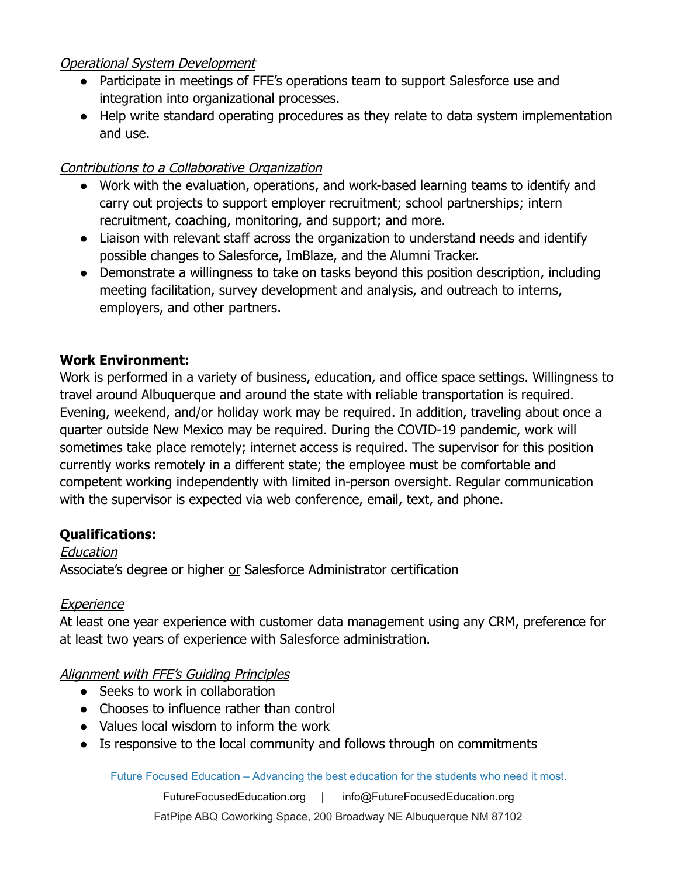#### Operational System Development

- Participate in meetings of FFE's operations team to support Salesforce use and integration into organizational processes.
- Help write standard operating procedures as they relate to data system implementation and use.

## Contributions to a Collaborative Organization

- Work with the evaluation, operations, and work-based learning teams to identify and carry out projects to support employer recruitment; school partnerships; intern recruitment, coaching, monitoring, and support; and more.
- Liaison with relevant staff across the organization to understand needs and identify possible changes to Salesforce, ImBlaze, and the Alumni Tracker.
- Demonstrate a willingness to take on tasks beyond this position description, including meeting facilitation, survey development and analysis, and outreach to interns, employers, and other partners.

## **Work Environment:**

Work is performed in a variety of business, education, and office space settings. Willingness to travel around Albuquerque and around the state with reliable transportation is required. Evening, weekend, and/or holiday work may be required. In addition, traveling about once a quarter outside New Mexico may be required. During the COVID-19 pandemic, work will sometimes take place remotely; internet access is required. The supervisor for this position currently works remotely in a different state; the employee must be comfortable and competent working independently with limited in-person oversight. Regular communication with the supervisor is expected via web conference, email, text, and phone.

## **Qualifications:**

**Education** Associate's degree or higher or Salesforce Administrator certification

## **Experience**

At least one year experience with customer data management using any CRM, preference for at least two years of experience with Salesforce administration.

## Alignment with FFE's Guiding Principles

- Seeks to work in collaboration
- Chooses to influence rather than control
- Values local wisdom to inform the work
- Is responsive to the local community and follows through on commitments

Future Focused Education – Advancing the best education for the students who need it most.